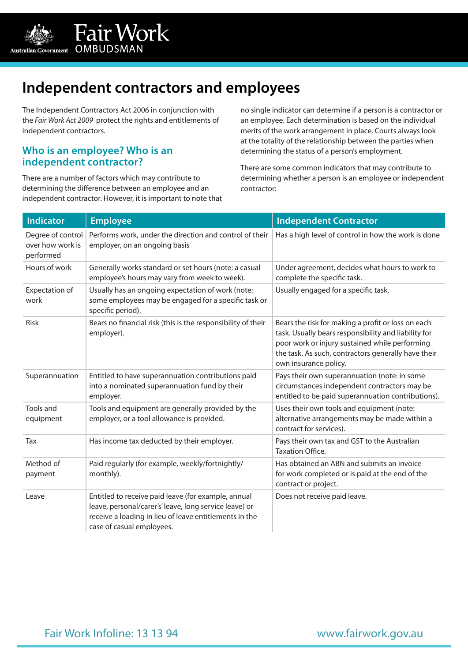

# **Independent contractors and employees**

The Independent Contractors Act 2006 in conjunction with the *Fair Work Act 2009* protect the rights and entitlements of independent contractors.

#### **Who is an employee? Who is an independent contractor?**

There are a number of factors which may contribute to determining the difference between an employee and an independent contractor. However, it is important to note that no single indicator can determine if a person is a contractor or an employee. Each determination is based on the individual merits of the work arrangement in place. Courts always look at the totality of the relationship between the parties when determining the status of a person's employment.

There are some common indicators that may contribute to determining whether a person is an employee or independent contractor:

| <b>Indicator</b>                                   | <b>Employee</b>                                                                                                                                                                                      | <b>Independent Contractor</b>                                                                                                                                                                                                                |
|----------------------------------------------------|------------------------------------------------------------------------------------------------------------------------------------------------------------------------------------------------------|----------------------------------------------------------------------------------------------------------------------------------------------------------------------------------------------------------------------------------------------|
| Degree of control<br>over how work is<br>performed | Performs work, under the direction and control of their<br>employer, on an ongoing basis                                                                                                             | Has a high level of control in how the work is done                                                                                                                                                                                          |
| Hours of work                                      | Generally works standard or set hours (note: a casual<br>employee's hours may vary from week to week).                                                                                               | Under agreement, decides what hours to work to<br>complete the specific task.                                                                                                                                                                |
| Expectation of<br>work                             | Usually has an ongoing expectation of work (note:<br>some employees may be engaged for a specific task or<br>specific period).                                                                       | Usually engaged for a specific task.                                                                                                                                                                                                         |
| Risk                                               | Bears no financial risk (this is the responsibility of their<br>employer).                                                                                                                           | Bears the risk for making a profit or loss on each<br>task. Usually bears responsibility and liability for<br>poor work or injury sustained while performing<br>the task. As such, contractors generally have their<br>own insurance policy. |
| Superannuation                                     | Entitled to have superannuation contributions paid<br>into a nominated superannuation fund by their<br>employer.                                                                                     | Pays their own superannuation (note: in some<br>circumstances independent contractors may be<br>entitled to be paid superannuation contributions).                                                                                           |
| Tools and<br>equipment                             | Tools and equipment are generally provided by the<br>employer, or a tool allowance is provided.                                                                                                      | Uses their own tools and equipment (note:<br>alternative arrangements may be made within a<br>contract for services).                                                                                                                        |
| Tax                                                | Has income tax deducted by their employer.                                                                                                                                                           | Pays their own tax and GST to the Australian<br><b>Taxation Office.</b>                                                                                                                                                                      |
| Method of<br>payment                               | Paid regularly (for example, weekly/fortnightly/<br>monthly).                                                                                                                                        | Has obtained an ABN and submits an invoice<br>for work completed or is paid at the end of the<br>contract or project.                                                                                                                        |
| Leave                                              | Entitled to receive paid leave (for example, annual<br>leave, personal/carer's' leave, long service leave) or<br>receive a loading in lieu of leave entitlements in the<br>case of casual employees. | Does not receive paid leave.                                                                                                                                                                                                                 |